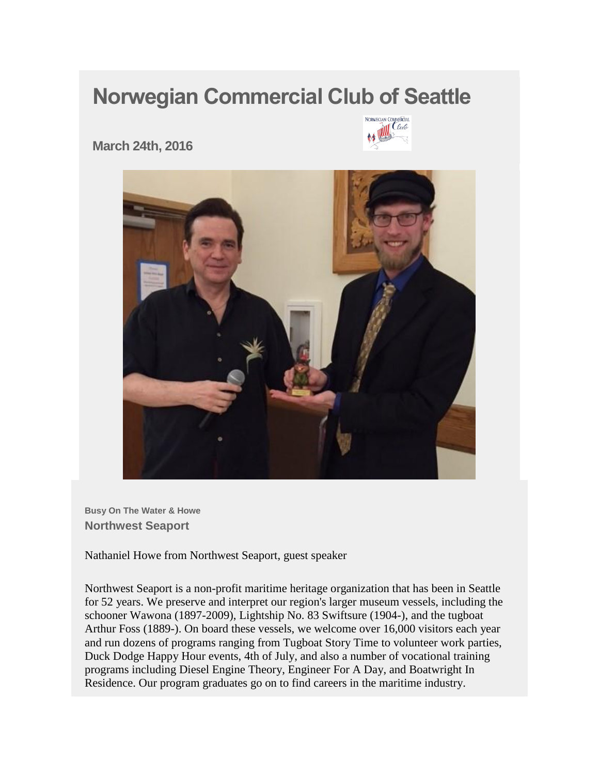## **Norwegian Commercial Club of Seattle**



**March 24th, 2016** 



**Busy On The Water & Howe Northwest Seaport**

Nathaniel Howe from Northwest Seaport, guest speaker

Northwest Seaport is a non-profit maritime heritage organization that has been in Seattle for 52 years. We preserve and interpret our region's larger museum vessels, including the schooner Wawona (1897-2009), Lightship No. 83 Swiftsure (1904-), and the tugboat Arthur Foss (1889-). On board these vessels, we welcome over 16,000 visitors each year and run dozens of programs ranging from Tugboat Story Time to volunteer work parties, Duck Dodge Happy Hour events, 4th of July, and also a number of vocational training programs including Diesel Engine Theory, Engineer For A Day, and Boatwright In Residence. Our program graduates go on to find careers in the maritime industry.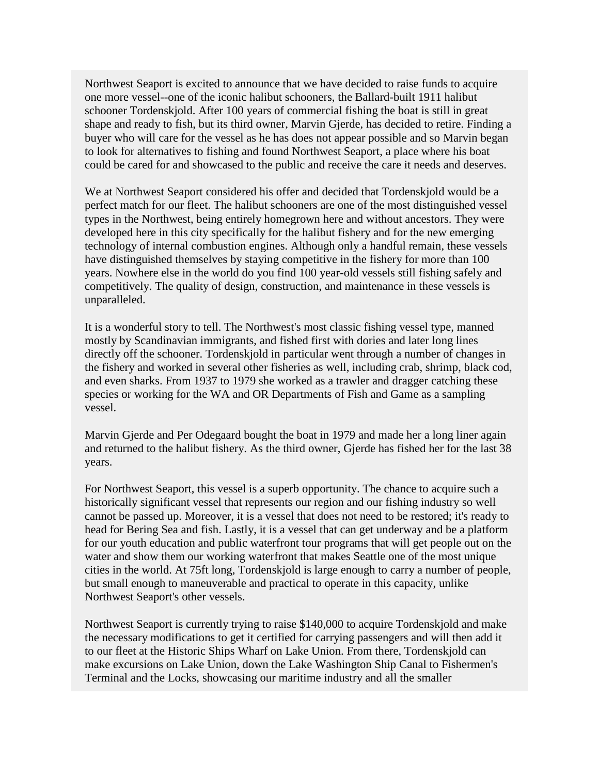Northwest Seaport is excited to announce that we have decided to raise funds to acquire one more vessel--one of the iconic halibut schooners, the Ballard-built 1911 halibut schooner Tordenskjold. After 100 years of commercial fishing the boat is still in great shape and ready to fish, but its third owner, Marvin Gjerde, has decided to retire. Finding a buyer who will care for the vessel as he has does not appear possible and so Marvin began to look for alternatives to fishing and found Northwest Seaport, a place where his boat could be cared for and showcased to the public and receive the care it needs and deserves.

We at Northwest Seaport considered his offer and decided that Tordenskjold would be a perfect match for our fleet. The halibut schooners are one of the most distinguished vessel types in the Northwest, being entirely homegrown here and without ancestors. They were developed here in this city specifically for the halibut fishery and for the new emerging technology of internal combustion engines. Although only a handful remain, these vessels have distinguished themselves by staying competitive in the fishery for more than 100 years. Nowhere else in the world do you find 100 year-old vessels still fishing safely and competitively. The quality of design, construction, and maintenance in these vessels is unparalleled.

It is a wonderful story to tell. The Northwest's most classic fishing vessel type, manned mostly by Scandinavian immigrants, and fished first with dories and later long lines directly off the schooner. Tordenskjold in particular went through a number of changes in the fishery and worked in several other fisheries as well, including crab, shrimp, black cod, and even sharks. From 1937 to 1979 she worked as a trawler and dragger catching these species or working for the WA and OR Departments of Fish and Game as a sampling vessel.

Marvin Gjerde and Per Odegaard bought the boat in 1979 and made her a long liner again and returned to the halibut fishery. As the third owner, Gjerde has fished her for the last 38 years.

For Northwest Seaport, this vessel is a superb opportunity. The chance to acquire such a historically significant vessel that represents our region and our fishing industry so well cannot be passed up. Moreover, it is a vessel that does not need to be restored; it's ready to head for Bering Sea and fish. Lastly, it is a vessel that can get underway and be a platform for our youth education and public waterfront tour programs that will get people out on the water and show them our working waterfront that makes Seattle one of the most unique cities in the world. At 75ft long, Tordenskjold is large enough to carry a number of people, but small enough to maneuverable and practical to operate in this capacity, unlike Northwest Seaport's other vessels.

Northwest Seaport is currently trying to raise \$140,000 to acquire Tordenskjold and make the necessary modifications to get it certified for carrying passengers and will then add it to our fleet at the Historic Ships Wharf on Lake Union. From there, Tordenskjold can make excursions on Lake Union, down the Lake Washington Ship Canal to Fishermen's Terminal and the Locks, showcasing our maritime industry and all the smaller